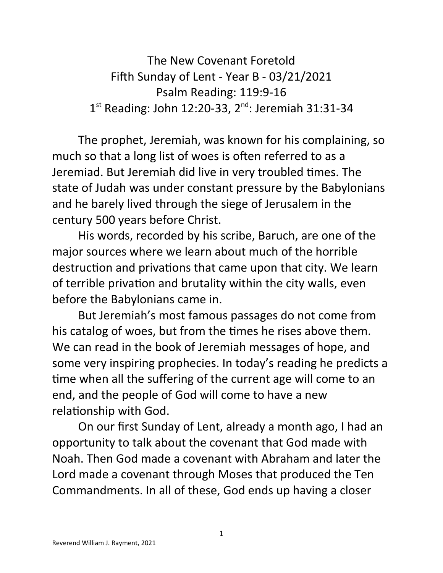The New Covenant Foretold Fifth Sunday of Lent - Year B - 03/21/2021 Psalm Reading: 119:9-16 1<sup>st</sup> Reading: John 12:20-33, 2<sup>nd</sup>: Jeremiah 31:31-34

The prophet, Jeremiah, was known for his complaining, so much so that a long list of woes is often referred to as a Jeremiad. But Jeremiah did live in very troubled times. The state of Judah was under constant pressure by the Babylonians and he barely lived through the siege of Jerusalem in the century 500 years before Christ.

His words, recorded by his scribe, Baruch, are one of the major sources where we learn about much of the horrible destruction and privations that came upon that city. We learn of terrible privation and brutality within the city walls, even before the Babylonians came in.

But Jeremiah's most famous passages do not come from his catalog of woes, but from the times he rises above them. We can read in the book of Jeremiah messages of hope, and some very inspiring prophecies. In today's reading he predicts a time when all the suffering of the current age will come to an end, and the people of God will come to have a new relationship with God.

On our first Sunday of Lent, already a month ago, I had an opportunity to talk about the covenant that God made with Noah. Then God made a covenant with Abraham and later the Lord made a covenant through Moses that produced the Ten Commandments. In all of these, God ends up having a closer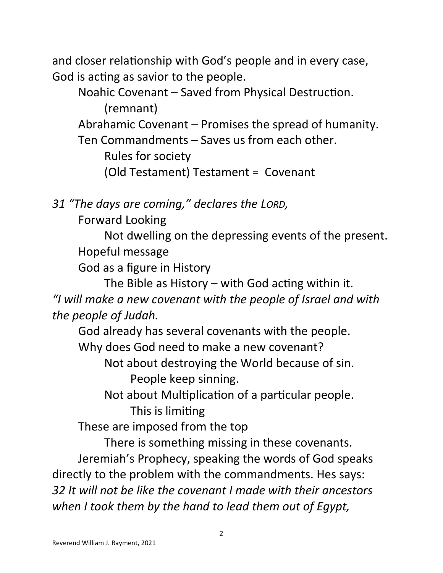and closer relationship with God's people and in every case, God is acting as savior to the people.

Noahic Covenant – Saved from Physical Destruction. (remnant) Abrahamic Covenant – Promises the spread of humanity. Ten Commandments – Saves us from each other. Rules for society (Old Testament) Testament = Covenant

*31 "The days are coming," declares the LORD,* 

Forward Looking

Not dwelling on the depressing events of the present. Hopeful message

God as a figure in History

The Bible as History – with God acting within it. *"I will make a new covenant with the people of Israel and with the people of Judah.*

God already has several covenants with the people.

Why does God need to make a new covenant?

Not about destroying the World because of sin. People keep sinning.

Not about Multiplication of a particular people.

This is limiting

These are imposed from the top

There is something missing in these covenants.

Jeremiah's Prophecy, speaking the words of God speaks directly to the problem with the commandments. Hes says: *32 It will not be like the covenant I made with their ancestors when I took them by the hand to lead them out of Egypt,*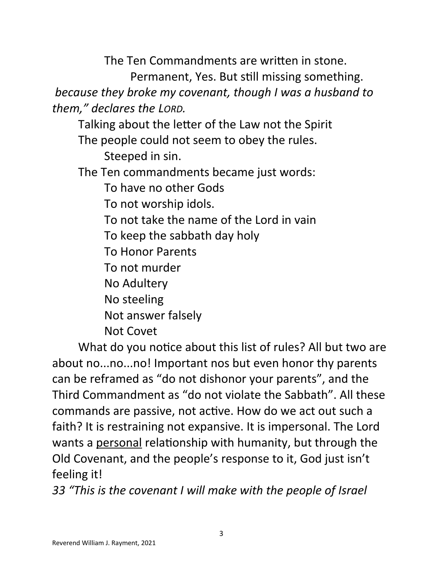The Ten Commandments are written in stone.

Permanent, Yes. But still missing something.

 *because they broke my covenant, though I was a husband to them," declares the LORD.*

Talking about the letter of the Law not the Spirit

The people could not seem to obey the rules.

Steeped in sin.

The Ten commandments became just words:

To have no other Gods

To not worship idols.

To not take the name of the Lord in vain

To keep the sabbath day holy

To Honor Parents

To not murder

No Adultery

No steeling

Not answer falsely

Not Covet

What do you notice about this list of rules? All but two are about no...no...no! Important nos but even honor thy parents can be reframed as "do not dishonor your parents", and the Third Commandment as "do not violate the Sabbath". All these commands are passive, not active. How do we act out such a faith? It is restraining not expansive. It is impersonal. The Lord wants a personal relationship with humanity, but through the Old Covenant, and the people's response to it, God just isn't feeling it!

*33 "This is the covenant I will make with the people of Israel*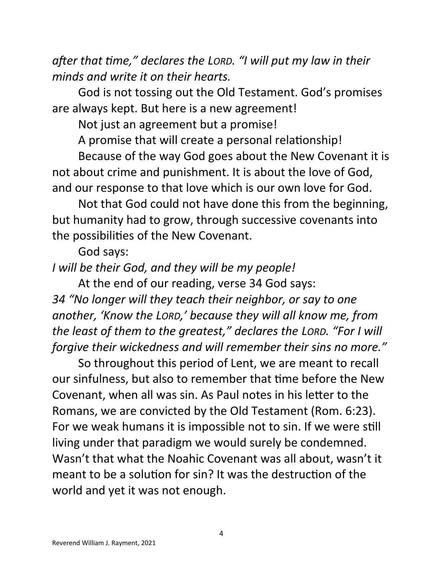*after that time," declares the LORD. "I will put my law in their minds and write it on their hearts.*

God is not tossing out the Old Testament. God's promises are always kept. But here is a new agreement!

Not just an agreement but a promise!

A promise that will create a personal relationship!

Because of the way God goes about the New Covenant it is not about crime and punishment. It is about the love of God, and our response to that love which is our own love for God.

Not that God could not have done this from the beginning, but humanity had to grow, through successive covenants into the possibilities of the New Covenant.

God says:

*I will be their God, and they will be my people!*

At the end of our reading, verse 34 God says:

*34 "No longer will they teach their neighbor, or say to one another, 'Know the LORD,' because they will all know me, from the least of them to the greatest," declares the LORD. "For I will forgive their wickedness and will remember their sins no more."*

So throughout this period of Lent, we are meant to recall our sinfulness, but also to remember that time before the New Covenant, when all was sin. As Paul notes in his letter to the Romans, we are convicted by the Old Testament (Rom. 6:23). For we weak humans it is impossible not to sin. If we were still living under that paradigm we would surely be condemned. Wasn't that what the Noahic Covenant was all about, wasn't it meant to be a solution for sin? It was the destruction of the world and yet it was not enough.